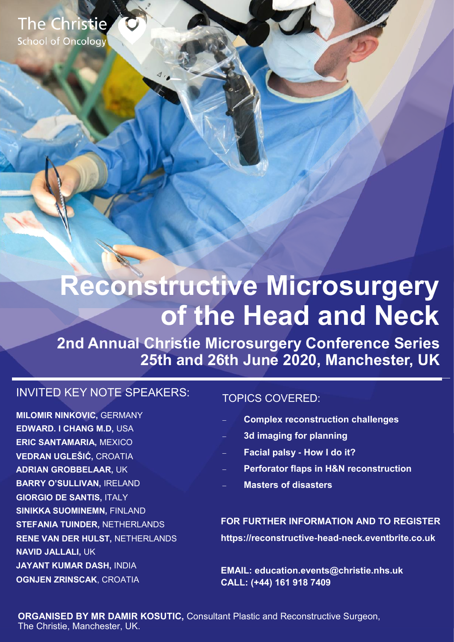The Christie **School of Oncology** 

# **Reconstructive Microsurgery of the Head and Neck**

**2nd Annual Christie Microsurgery Conference Series 25th and 26th June 2020, Manchester, UK**

### INVITED KEY NOTE SPEAKERS:

**MILOMIR NINKOVIC,** GERMANY **EDWARD. I CHANG M.D,** USA **ERIC SANTAMARIA,** MEXICO **VEDRAN UGLEŠIĆ,** CROATIA **ADRIAN GROBBELAAR,** UK **BARRY O'SULLIVAN,** IRELAND **GIORGIO DE SANTIS,** ITALY **SINIKKA SUOMINEMN,** FINLAND **STEFANIA TUINDER,** NETHERLANDS **RENE VAN DER HULST,** NETHERLANDS **NAVID JALLALI,** UK **JAYANT KUMAR DASH,** INDIA **OGNJEN ZRINSCAK**, CROATIA

### TOPICS COVERED:

- **Complex reconstruction challenges**
- **3d imaging for planning**
- **Facial palsy - How I do it?**
- **Perforator flaps in H&N reconstruction**
- **Masters of disasters**

**FOR FURTHER INFORMATION AND TO REGISTER https://reconstructive-head-neck.eventbrite.co.uk** 

**EMAIL: education.events@christie.nhs.uk CALL: (+44) 161 918 7409**

**ORGANISED BY MR DAMIR KOSUTIC, Consultant Plastic and Reconstructive Surgeon.** The Christie, Manchester, UK.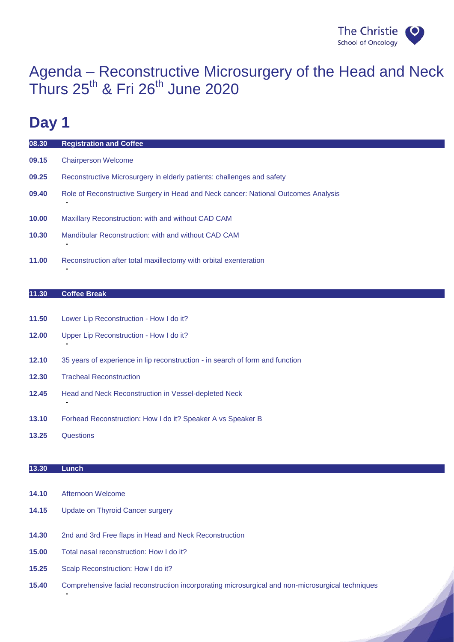

 $\overline{\mathcal{A}}$ 

### Agenda – Reconstructive Microsurgery of the Head and Neck Thurs  $25^{th}$  & Fri  $26^{th}$  June 2020

## **Day 1**

| 08.30 | <b>Registration and Coffee</b>                                                          |
|-------|-----------------------------------------------------------------------------------------|
| 09.15 | <b>Chairperson Welcome</b>                                                              |
| 09.25 | Reconstructive Microsurgery in elderly patients: challenges and safety                  |
| 09.40 | Role of Reconstructive Surgery in Head and Neck cancer: National Outcomes Analysis<br>۰ |
| 10.00 | Maxillary Reconstruction: with and without CAD CAM                                      |
| 10.30 | Mandibular Reconstruction: with and without CAD CAM                                     |
| 11.00 | Reconstruction after total maxillectomy with orbital exenteration                       |

#### **11.30 Coffee Break**

**-**

**-**

- **11.50** Lower Lip Reconstruction How I do it?
- **12.00** Upper Lip Reconstruction How I do it?
- **12.10** 35 years of experience in lip reconstruction in search of form and function
- **12.30** Tracheal Reconstruction
- **12.45** Head and Neck Reconstruction in Vessel-depleted Neck
- **13.10** Forhead Reconstruction: How I do it? Speaker A vs Speaker B
- **13.25** Questions

#### **13.30 Lunch**

**14.10** Afternoon Welcome

**-**

- **14.15** Update on Thyroid Cancer surgery
- **14.30** 2nd and 3rd Free flaps in Head and Neck Reconstruction
- **15.00** Total nasal reconstruction: How I do it?
- **15.25** Scalp Reconstruction: How I do it?
- **15.40** Comprehensive facial reconstruction incorporating microsurgical and non-microsurgical techniques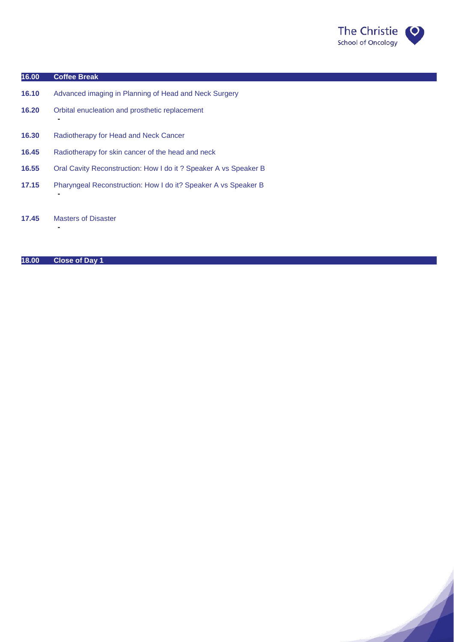

A

#### **16.00 Coffee Break**

**-**

**-**

**-**

- **16.10** Advanced imaging in Planning of Head and Neck Surgery
- **16.20** Orbital enucleation and prosthetic replacement
- **16.30** Radiotherapy for Head and Neck Cancer
- **16.45** Radiotherapy for skin cancer of the head and neck
- **16.55** Oral Cavity Reconstruction: How I do it ? Speaker A vs Speaker B
- **17.15** Pharyngeal Reconstruction: How I do it? Speaker A vs Speaker B
- **17.45** Masters of Disaster

#### **18.00 Close of Day 1**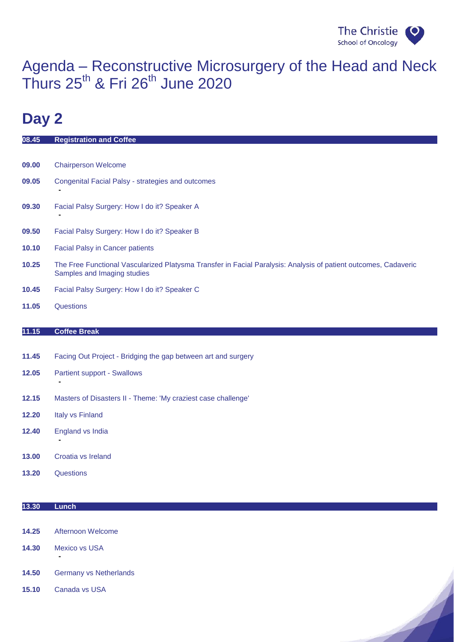

 $\overline{\phantom{a}}$ 

## Agenda – Reconstructive Microsurgery of the Head and Neck Thurs  $25^{th}$  & Fri  $26^{th}$  June 2020

# **Day 2**

| 08.45 | <b>Registration and Coffee</b>                                                                                                                 |
|-------|------------------------------------------------------------------------------------------------------------------------------------------------|
|       |                                                                                                                                                |
| 09.00 | <b>Chairperson Welcome</b>                                                                                                                     |
| 09.05 | Congenital Facial Palsy - strategies and outcomes                                                                                              |
| 09.30 | Facial Palsy Surgery: How I do it? Speaker A                                                                                                   |
| 09.50 | Facial Palsy Surgery: How I do it? Speaker B                                                                                                   |
| 10.10 | <b>Facial Palsy in Cancer patients</b>                                                                                                         |
| 10.25 | The Free Functional Vascularized Platysma Transfer in Facial Paralysis: Analysis of patient outcomes, Cadaveric<br>Samples and Imaging studies |
| 10.45 | Facial Palsy Surgery: How I do it? Speaker C                                                                                                   |
| 11.05 | Questions                                                                                                                                      |
|       |                                                                                                                                                |
| 11.15 | <b>Coffee Break</b>                                                                                                                            |
| 11.45 |                                                                                                                                                |
|       | Facing Out Project - Bridging the gap between art and surgery                                                                                  |
| 12.05 | <b>Partient support - Swallows</b>                                                                                                             |
|       |                                                                                                                                                |
| 12.15 | Masters of Disasters II - Theme: 'My craziest case challenge'                                                                                  |
| 12.20 | Italy vs Finland                                                                                                                               |
| 12.40 | England vs India                                                                                                                               |
|       |                                                                                                                                                |
| 13.00 | Croatia vs Ireland                                                                                                                             |
|       | Questions                                                                                                                                      |
| 13.20 |                                                                                                                                                |

- **14.25** Afternoon Welcome
- **14.30** Mexico vs USA **-**
- **14.50** Germany vs Netherlands
- **15.10** Canada vs USA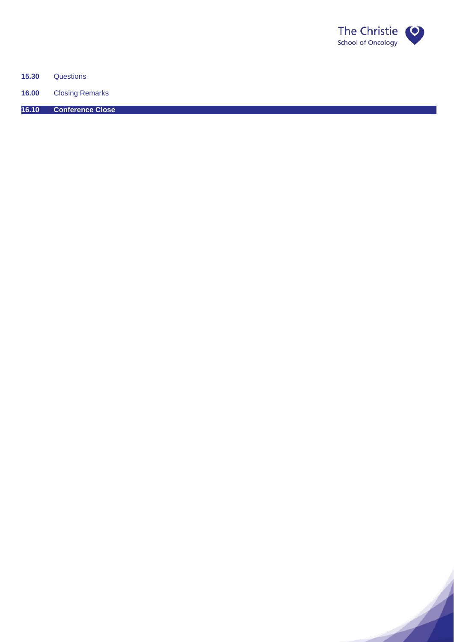

A

**15.30** Questions

**16.00** Closing Remarks

**16.10 Conference Close**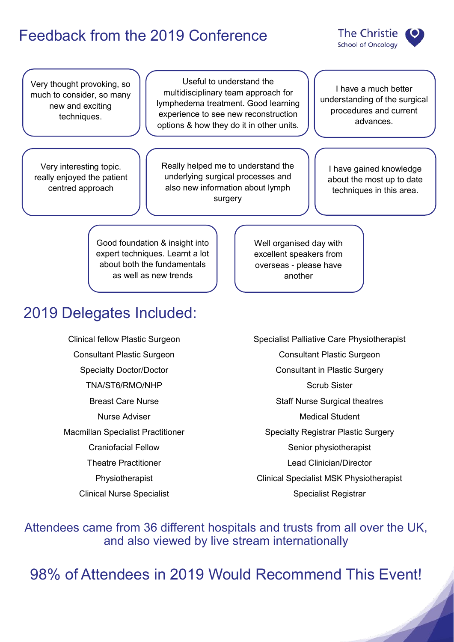## Feedback from the 2019 Conference



Very thought provoking, so much to consider, so many new and exciting techniques.

Very interesting topic. really enjoyed the patient centred approach

Useful to understand the multidisciplinary team approach for lymphedema treatment. Good learning experience to see new reconstruction options & how they do it in other units.

Really helped me to understand the underlying surgical processes and also new information about lymph surgery

I have a much better understanding of the surgical procedures and current advances.

I have gained knowledge about the most up to date techniques in this area.

Good foundation & insight into expert techniques. Learnt a lot about both the fundamentals as well as new trends

## 2019 Delegates Included:

Clinical fellow Plastic Surgeon Consultant Plastic Surgeon Specialty Doctor/Doctor TNA/ST6/RMO/NHP Breast Care Nurse Nurse Adviser Macmillan Specialist Practitioner Craniofacial Fellow Theatre Practitioner Physiotherapist Clinical Nurse Specialist

Well organised day with excellent speakers from overseas - please have another

Specialist Palliative Care Physiotherapist Consultant Plastic Surgeon Consultant in Plastic Surgery Scrub Sister Staff Nurse Surgical theatres Medical Student Specialty Registrar Plastic Surgery Senior physiotherapist Lead Clinician/Director Clinical Specialist MSK Physiotherapist Specialist Registrar

Attendees came from 36 different hospitals and trusts from all over the UK, and also viewed by live stream internationally

98% of Attendees in 2019 Would Recommend This Event!